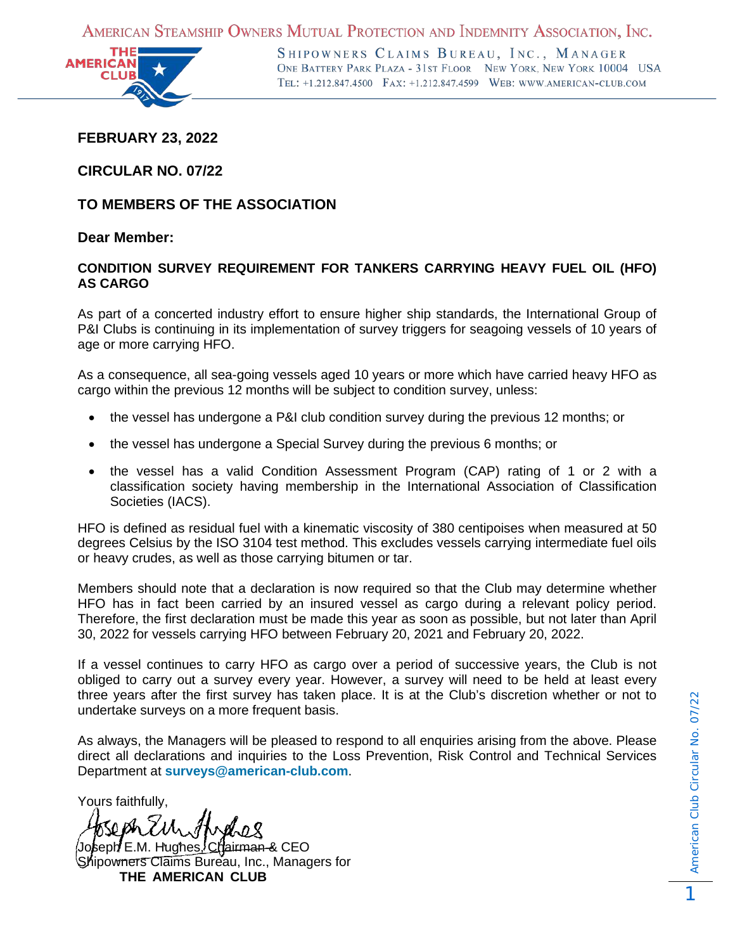AMERICAN STEAMSHIP OWNERS MUTUAL PROTECTION AND INDEMNITY ASSOCIATION, INC.



SHIPOWNERS CLAIMS BUREAU, INC., MANAGER ONE BATTERY PARK PLAZA - 31ST FLOOR NEW YORK, NEW YORK 10004 USA TEL: +1.212.847.4500 FAX: +1.212.847.4599 WEB: WWW.AMERICAN-CLUB.COM

**FEBRUARY 23, 2022**

**CIRCULAR NO. 07/22**

**TO MEMBERS OF THE ASSOCIATION**

## **Dear Member:**

## **CONDITION SURVEY REQUIREMENT FOR TANKERS CARRYING HEAVY FUEL OIL (HFO) AS CARGO**

As part of a concerted industry effort to ensure higher ship standards, the International Group of P&I Clubs is continuing in its implementation of survey triggers for seagoing vessels of 10 years of age or more carrying HFO.

As a consequence, all sea-going vessels aged 10 years or more which have carried heavy HFO as cargo within the previous 12 months will be subject to condition survey, unless:

- the vessel has undergone a P&I club condition survey during the previous 12 months; or
- the vessel has undergone a Special Survey during the previous 6 months; or
- the vessel has a valid Condition Assessment Program (CAP) rating of 1 or 2 with a classification society having membership in the International Association of Classification Societies (IACS).

HFO is defined as residual fuel with a kinematic viscosity of 380 centipoises when measured at 50 degrees Celsius by the ISO 3104 test method. This excludes vessels carrying intermediate fuel oils or heavy crudes, as well as those carrying bitumen or tar.

Members should note that a declaration is now required so that the Club may determine whether HFO has in fact been carried by an insured vessel as cargo during a relevant policy period. Therefore, the first declaration must be made this year as soon as possible, but not later than April 30, 2022 for vessels carrying HFO between February 20, 2021 and February 20, 2022.

If a vessel continues to carry HFO as cargo over a period of successive years, the Club is not obliged to carry out a survey every year. However, a survey will need to be held at least every three years after the first survey has taken place. It is at the Club's discretion whether or not to undertake surveys on a more frequent basis.

As always, the Managers will be pleased to respond to all enquiries arising from the above. Please direct all declarations and inquiries to the Loss Prevention, Risk Control and Technical Services Department at **[surveys@american-club.com](mailto:surveys@american-club.com)**.

Yours faithfully,

Joseph E.M. Hughes, Chairman & CEO Shipowners Claims Bureau, Inc., Managers for **THE AMERICAN CLUB**